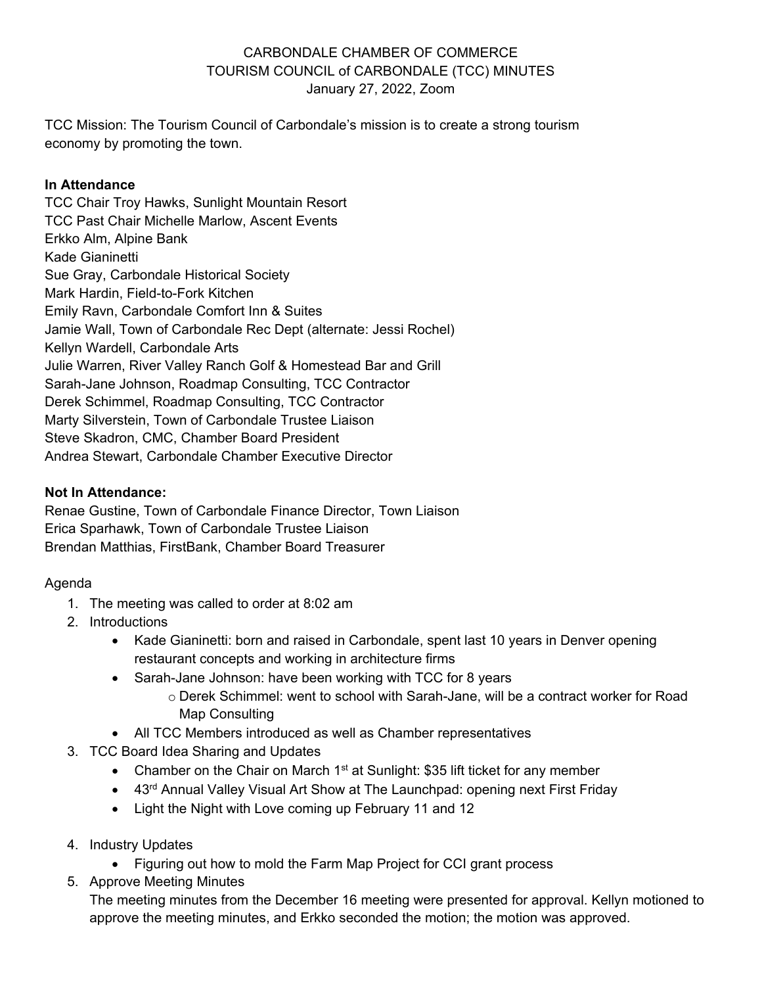# CARBONDALE CHAMBER OF COMMERCE TOURISM COUNCIL of CARBONDALE (TCC) MINUTES January 27, 2022, Zoom

TCC Mission: The Tourism Council of Carbondale's mission is to create a strong tourism economy by promoting the town.

## **In Attendance**

TCC Chair Troy Hawks, Sunlight Mountain Resort TCC Past Chair Michelle Marlow, Ascent Events Erkko Alm, Alpine Bank Kade Gianinetti Sue Gray, Carbondale Historical Society Mark Hardin, Field-to-Fork Kitchen Emily Ravn, Carbondale Comfort Inn & Suites Jamie Wall, Town of Carbondale Rec Dept (alternate: Jessi Rochel) Kellyn Wardell, Carbondale Arts Julie Warren, River Valley Ranch Golf & Homestead Bar and Grill Sarah-Jane Johnson, Roadmap Consulting, TCC Contractor Derek Schimmel, Roadmap Consulting, TCC Contractor Marty Silverstein, Town of Carbondale Trustee Liaison Steve Skadron, CMC, Chamber Board President Andrea Stewart, Carbondale Chamber Executive Director

#### **Not In Attendance:**

Renae Gustine, Town of Carbondale Finance Director, Town Liaison Erica Sparhawk, Town of Carbondale Trustee Liaison Brendan Matthias, FirstBank, Chamber Board Treasurer

### Agenda

- 1. The meeting was called to order at 8:02 am
- 2. Introductions
	- Kade Gianinetti: born and raised in Carbondale, spent last 10 years in Denver opening restaurant concepts and working in architecture firms
	- Sarah-Jane Johnson: have been working with TCC for 8 years
		- o Derek Schimmel: went to school with Sarah-Jane, will be a contract worker for Road Map Consulting
	- All TCC Members introduced as well as Chamber representatives
- 3. TCC Board Idea Sharing and Updates
	- Chamber on the Chair on March  $1<sup>st</sup>$  at Sunlight: \$35 lift ticket for any member
	- 43<sup>rd</sup> Annual Valley Visual Art Show at The Launchpad: opening next First Friday
	- Light the Night with Love coming up February 11 and 12
- 4. Industry Updates
	- Figuring out how to mold the Farm Map Project for CCI grant process
- 5. Approve Meeting Minutes

The meeting minutes from the December 16 meeting were presented for approval. Kellyn motioned to approve the meeting minutes, and Erkko seconded the motion; the motion was approved.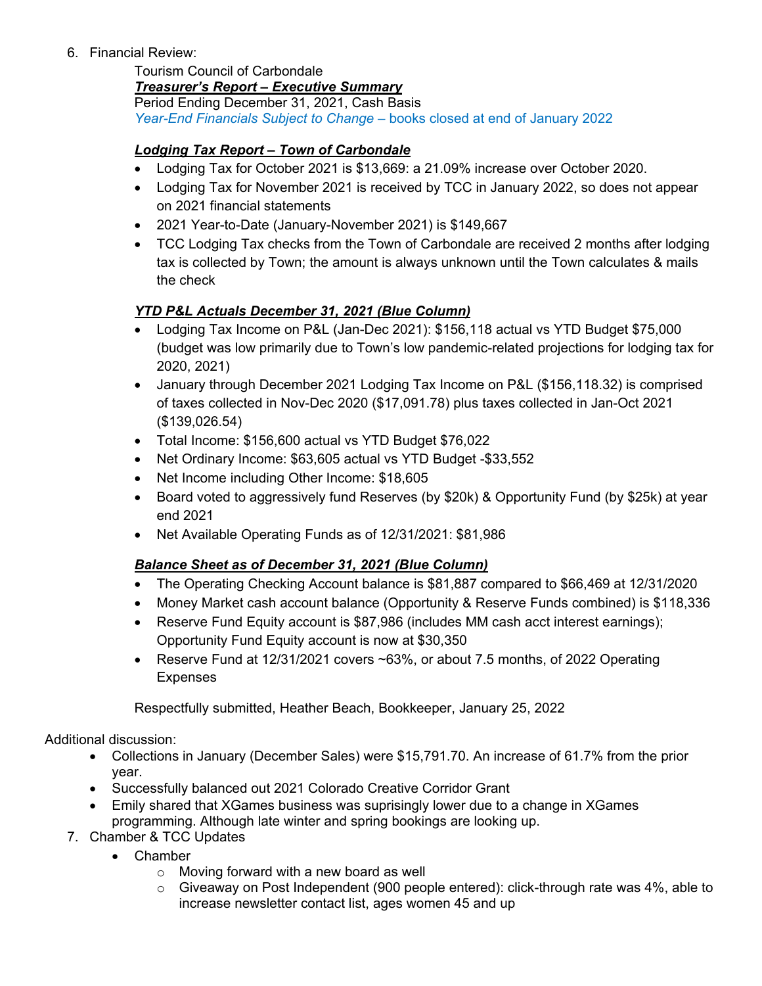6. Financial Review:

Tourism Council of Carbondale

*Treasurer's Report – Executive Summary*

Period Ending December 31, 2021, Cash Basis *Year-End Financials Subject to Change* – books closed at end of January 2022

## *Lodging Tax Report – Town of Carbondale*

- Lodging Tax for October 2021 is \$13,669: a 21.09% increase over October 2020.
- Lodging Tax for November 2021 is received by TCC in January 2022, so does not appear on 2021 financial statements
- 2021 Year-to-Date (January-November 2021) is \$149,667
- TCC Lodging Tax checks from the Town of Carbondale are received 2 months after lodging tax is collected by Town; the amount is always unknown until the Town calculates & mails the check

## *YTD P&L Actuals December 31, 2021 (Blue Column)*

- Lodging Tax Income on P&L (Jan-Dec 2021): \$156,118 actual vs YTD Budget \$75,000 (budget was low primarily due to Town's low pandemic-related projections for lodging tax for 2020, 2021)
- January through December 2021 Lodging Tax Income on P&L (\$156,118.32) is comprised of taxes collected in Nov-Dec 2020 (\$17,091.78) plus taxes collected in Jan-Oct 2021 (\$139,026.54)
- Total Income: \$156,600 actual vs YTD Budget \$76,022
- Net Ordinary Income: \$63,605 actual vs YTD Budget -\$33,552
- Net Income including Other Income: \$18,605
- Board voted to aggressively fund Reserves (by \$20k) & Opportunity Fund (by \$25k) at year end 2021
- Net Available Operating Funds as of 12/31/2021: \$81,986

### *Balance Sheet as of December 31, 2021 (Blue Column)*

- The Operating Checking Account balance is \$81,887 compared to \$66,469 at 12/31/2020
- Money Market cash account balance (Opportunity & Reserve Funds combined) is \$118,336
- Reserve Fund Equity account is \$87,986 (includes MM cash acct interest earnings); Opportunity Fund Equity account is now at \$30,350
- Reserve Fund at 12/31/2021 covers ~63%, or about 7.5 months, of 2022 Operating Expenses

Respectfully submitted, Heather Beach, Bookkeeper, January 25, 2022

Additional discussion:

- Collections in January (December Sales) were \$15,791.70. An increase of 61.7% from the prior year.
- Successfully balanced out 2021 Colorado Creative Corridor Grant
- Emily shared that XGames business was suprisingly lower due to a change in XGames programming. Although late winter and spring bookings are looking up.
- 7. Chamber & TCC Updates
	- Chamber
		- $\circ$  Moving forward with a new board as well
		- $\circ$  Giveaway on Post Independent (900 people entered): click-through rate was 4%, able to increase newsletter contact list, ages women 45 and up